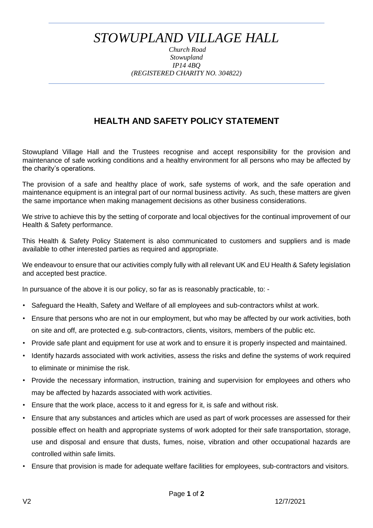## *STOWUPLAND VILLAGE HALL*

*Church Road Stowupland IP14 4BQ (REGISTERED CHARITY NO. 304822)*

## **HEALTH AND SAFETY POLICY STATEMENT**

Stowupland Village Hall and the Trustees recognise and accept responsibility for the provision and maintenance of safe working conditions and a healthy environment for all persons who may be affected by the charity's operations.

The provision of a safe and healthy place of work, safe systems of work, and the safe operation and maintenance equipment is an integral part of our normal business activity. As such, these matters are given the same importance when making management decisions as other business considerations.

We strive to achieve this by the setting of corporate and local objectives for the continual improvement of our Health & Safety performance.

This Health & Safety Policy Statement is also communicated to customers and suppliers and is made available to other interested parties as required and appropriate.

We endeavour to ensure that our activities comply fully with all relevant UK and EU Health & Safety legislation and accepted best practice.

In pursuance of the above it is our policy, so far as is reasonably practicable, to: -

- Safeguard the Health, Safety and Welfare of all employees and sub-contractors whilst at work.
- Ensure that persons who are not in our employment, but who may be affected by our work activities, both on site and off, are protected e.g. sub-contractors, clients, visitors, members of the public etc.
- Provide safe plant and equipment for use at work and to ensure it is properly inspected and maintained.
- Identify hazards associated with work activities, assess the risks and define the systems of work required to eliminate or minimise the risk.
- Provide the necessary information, instruction, training and supervision for employees and others who may be affected by hazards associated with work activities.
- Ensure that the work place, access to it and egress for it, is safe and without risk.
- Ensure that any substances and articles which are used as part of work processes are assessed for their possible effect on health and appropriate systems of work adopted for their safe transportation, storage, use and disposal and ensure that dusts, fumes, noise, vibration and other occupational hazards are controlled within safe limits.
- Ensure that provision is made for adequate welfare facilities for employees, sub-contractors and visitors.